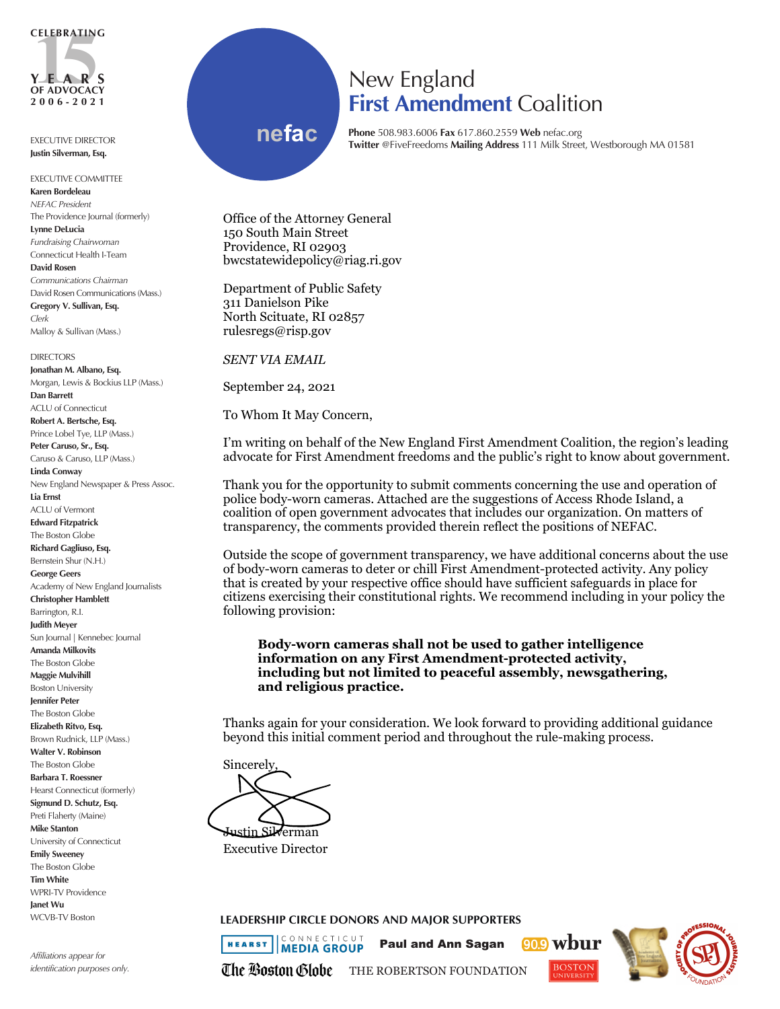

EXECUTIVE DIRECTOR **Justin Silverman, Esq.**

EXECUTIVE COMMITTEE **Karen Bordeleau** *NEFAC President* The Providence Journal (formerly) **Lynne DeLucia**

*Fundraising Chairwoman* Connecticut Health I-Team **David Rosen** *Communications Chairman* David Rosen Communications (Mass.) **Gregory V. Sullivan, Esq.** *Clerk*

Malloy & Sullivan (Mass.)

DIRECTORS **Jonathan M. Albano, Esq.** Morgan, Lewis & Bockius LLP (Mass.) **Dan Barrett** ACLU of Connecticut **Robert A. Bertsche, Esq.** Prince Lobel Tye, LLP (Mass.) **Peter Caruso, Sr., Esq.** Caruso & Caruso, LLP (Mass.) **Linda Conway** New England Newspaper & Press Assoc. **Lia Ernst** ACLU of Vermont **Edward Fitzpatrick** The Boston Globe **Richard Gagliuso, Esq.** Bernstein Shur (N.H.) **George Geers** Academy of New England Journalists **Christopher Hamblett** Barrington, R.I. **Judith Meyer** Sun Journal | Kennebec Journal **Amanda Milkovits** The Boston Globe **Maggie Mulvihill** Boston University **Jennifer Peter** The Boston Globe **Elizabeth Ritvo, Esq.** Brown Rudnick, LLP (Mass.) **Walter V. Robinson** The Boston Globe **Barbara T. Roessner** Hearst Connecticut (formerly) **Sigmund D. Schutz, Esq.** Preti Flaherty (Maine) **Mike Stanton** University of Connecticut **Emily Sweeney** The Boston Globe **Tim White** WPRI-TV Providence

**Janet Wu** WCVB-TV Boston

*Affiliations appear for identification purposes only.*

## New England **First Amendment** Coalition

**nefac**

**Phone** 508.983.6006 **Fax** 617.860.2559 **Web** nefac.org **Twitter** @FiveFreedoms **Mailing Address** 111 Milk Street, Westborough MA 01581

Office of the Attorney General 150 South Main Street Providence, RI 02903 bwcstatewidepolicy@riag.ri.gov

Department of Public Safety 311 Danielson Pike North Scituate, RI 02857 rulesregs@risp.gov

*SENT VIA EMAIL*

September 24, 2021

To Whom It May Concern,

I'm writing on behalf of the New England First Amendment Coalition, the region's leading advocate for First Amendment freedoms and the public's right to know about government.

Thank you for the opportunity to submit comments concerning the use and operation of police body-worn cameras. Attached are the suggestions of Access Rhode Island, a coalition of open government advocates that includes our organization. On matters of transparency, the comments provided therein reflect the positions of NEFAC.

Outside the scope of government transparency, we have additional concerns about the use of body-worn cameras to deter or chill First Amendment-protected activity. Any policy that is created by your respective office should have sufficient safeguards in place for citizens exercising their constitutional rights. We recommend including in your policy the following provision:

**Body-worn cameras shall not be used to gather intelligence information on any First Amendment-protected activity, including but not limited to peaceful assembly, newsgathering, and religious practice.**

Thanks again for your consideration. We look forward to providing additional guidance beyond this initial comment period and throughout the rule-making process.



Executive Director

**LEADERSHIP CIRCLE DONORS AND MAJOR SUPPORTERS** 

CONNECTICUT **HEARST MEDIA GROUP** 

The Boston Blobe

Paul and Ann Sagan

THE ROBERTSON FOUNDATION

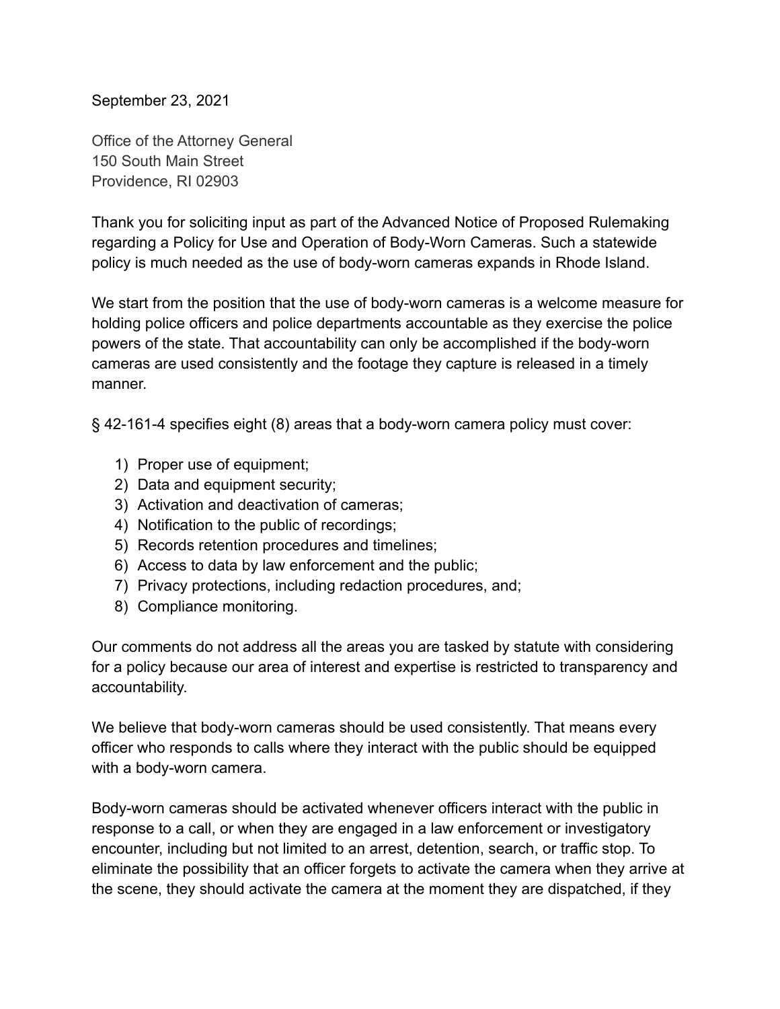September 23, 2021

Office of the Attorney General 150 South Main Street Providence, RI 02903

Thank you for soliciting input as part of the Advanced Notice of Proposed Rulemaking regarding a Policy for Use and Operation of Body-Worn Cameras. Such a statewide policy is much needed as the use of body-worn cameras expands in Rhode Island.

We start from the position that the use of body-worn cameras is a welcome measure for holding police officers and police departments accountable as they exercise the police powers of the state. That accountability can only be accomplished if the body-worn cameras are used consistently and the footage they capture is released in a timely manner.

 $\S$  42-161-4 specifies eight (8) areas that a body-worn camera policy must cover:

- 1) Proper use of equipment;
- 2) Data and equipment security;
- 3) Activation and deactivation of cameras;
- 4) Notification to the public of recordings;
- 5) Records retention procedures and timelines;
- 6) Access to data by law enforcement and the public;
- 7) Privacy protections, including redaction procedures, and;
- 8) Compliance monitoring.

Our comments do not address all the areas you are tasked by statute with considering for a policy because our area of interest and expertise is restricted to transparency and accountability.

We believe that body-worn cameras should be used consistently. That means every officer who responds to calls where they interact with the public should be equipped with a body-worn camera.

Body-worn cameras should be activated whenever officers interact with the public in response to a call, or when they are engaged in a law enforcement or investigatory encounter, including but not limited to an arrest, detention, search, or traffic stop. To eliminate the possibility that an officer forgets to activate the camera when they arrive at the scene, they should activate the camera at the moment they are dispatched, if they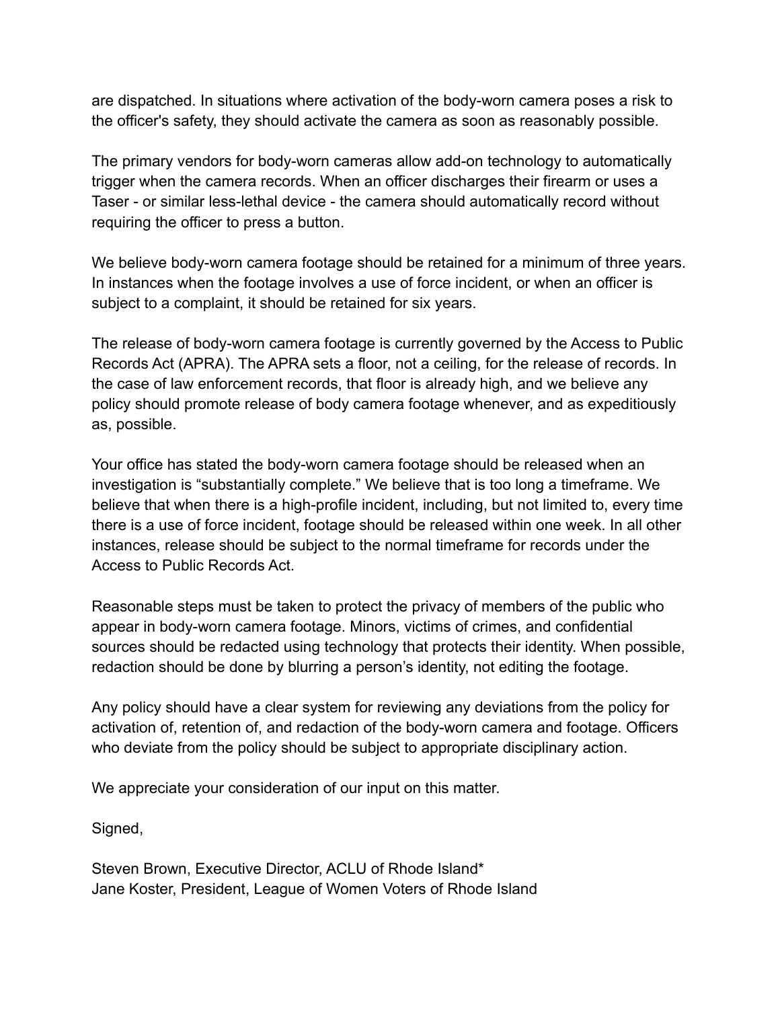are dispatched. In situations where activation of the body-worn camera poses a risk to the officer's safety, they should activate the camera as soon as reasonably possible.

The primary vendors for body-worn cameras allow add-on technology to automatically trigger when the camera records. When an officer discharges their firearm or uses a Taser - or similar less-lethal device - the camera should automatically record without requiring the officer to press a button.

We believe body-worn camera footage should be retained for a minimum of three years. In instances when the footage involves a use of force incident, or when an officer is subject to a complaint, it should be retained for six years.

The release of body-worn camera footage is currently governed by the Access to Public Records Act (APRA). The APRA sets a floor, not a ceiling, for the release of records. In the case of law enforcement records, that floor is already high, and we believe any policy should promote release of body camera footage whenever, and as expeditiously as, possible.

Your office has stated the body-worn camera footage should be released when an investigation is "substantially complete." We believe that is too long a timeframe. We believe that when there is a high-profile incident, including, but not limited to, every time there is a use of force incident, footage should be released within one week. In all other instances, release should be subject to the normal timeframe for records under the Access to Public Records Act.

Reasonable steps must be taken to protect the privacy of members of the public who appear in body-worn camera footage. Minors, victims of crimes, and confidential sources should be redacted using technology that protects their identity. When possible, redaction should be done by blurring a person's identity, not editing the footage.

Any policy should have a clear system for reviewing any deviations from the policy for activation of, retention of, and redaction of the body-worn camera and footage. Officers who deviate from the policy should be subject to appropriate disciplinary action.

We appreciate your consideration of our input on this matter.

Signed,

Steven Brown, Executive Director, ACLU of Rhode Island\* Jane Koster, President, League of Women Voters of Rhode Island